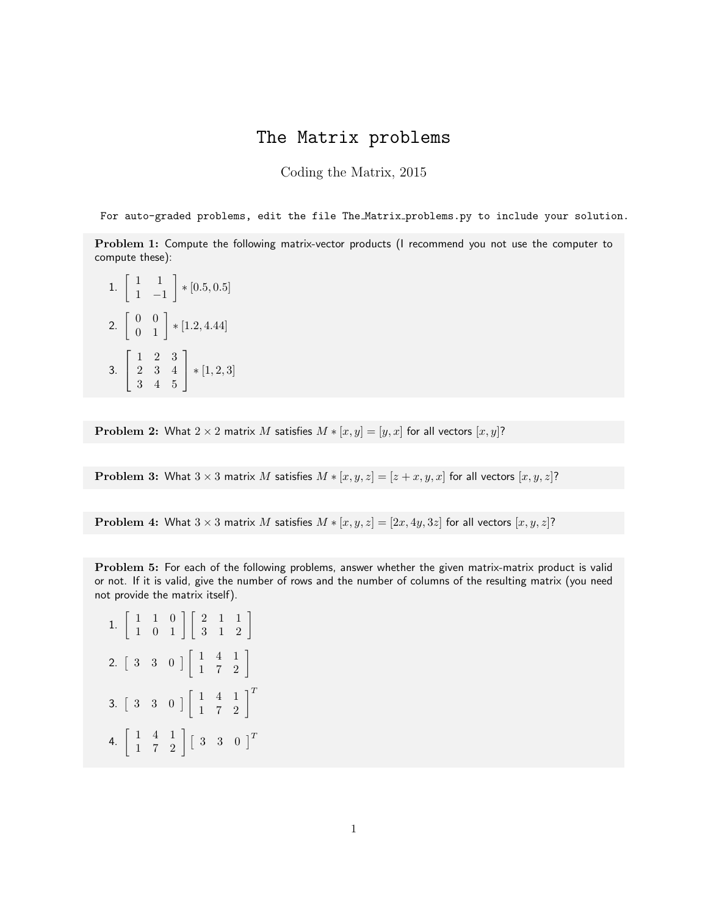## The Matrix problems

Coding the Matrix, 2015

For auto-graded problems, edit the file The Matrix problems.py to include your solution.

Problem 1: Compute the following matrix-vector products (I recommend you not use the computer to compute these):

1.  $\begin{bmatrix} 1 & 1 \\ 1 & 1 \end{bmatrix}$ 1 −1  $\Big] * [0.5, 0.5]$ 2.  $\begin{bmatrix} 0 & 0 \\ 0 & 1 \end{bmatrix}$  \* [1.2, 4.44] 3.  $\sqrt{ }$  $\overline{1}$ 1 2 3 2 3 4 3 4 5 1  $\,|\, *[1,2,3]$ 

**Problem 2:** What  $2 \times 2$  matrix M satisfies  $M * [x, y] = [y, x]$  for all vectors  $[x, y]$ ?

**Problem 3:** What  $3 \times 3$  matrix M satisfies  $M * [x, y, z] = [z + x, y, x]$  for all vectors  $[x, y, z]$ ?

**Problem 4:** What  $3 \times 3$  matrix M satisfies  $M * [x, y, z] = [2x, 4y, 3z]$  for all vectors  $[x, y, z]$ ?

Problem 5: For each of the following problems, answer whether the given matrix-matrix product is valid or not. If it is valid, give the number of rows and the number of columns of the resulting matrix (you need not provide the matrix itself).

1. 
$$
\begin{bmatrix} 1 & 1 & 0 \\ 1 & 0 & 1 \end{bmatrix} \begin{bmatrix} 2 & 1 & 1 \\ 3 & 1 & 2 \end{bmatrix}
$$
  
\n2.  $\begin{bmatrix} 3 & 3 & 0 \end{bmatrix} \begin{bmatrix} 1 & 4 & 1 \\ 1 & 7 & 2 \end{bmatrix}$   
\n3.  $\begin{bmatrix} 3 & 3 & 0 \end{bmatrix} \begin{bmatrix} 1 & 4 & 1 \\ 1 & 7 & 2 \end{bmatrix}^T$   
\n4.  $\begin{bmatrix} 1 & 4 & 1 \\ 1 & 7 & 2 \end{bmatrix} \begin{bmatrix} 3 & 3 & 0 \end{bmatrix}^T$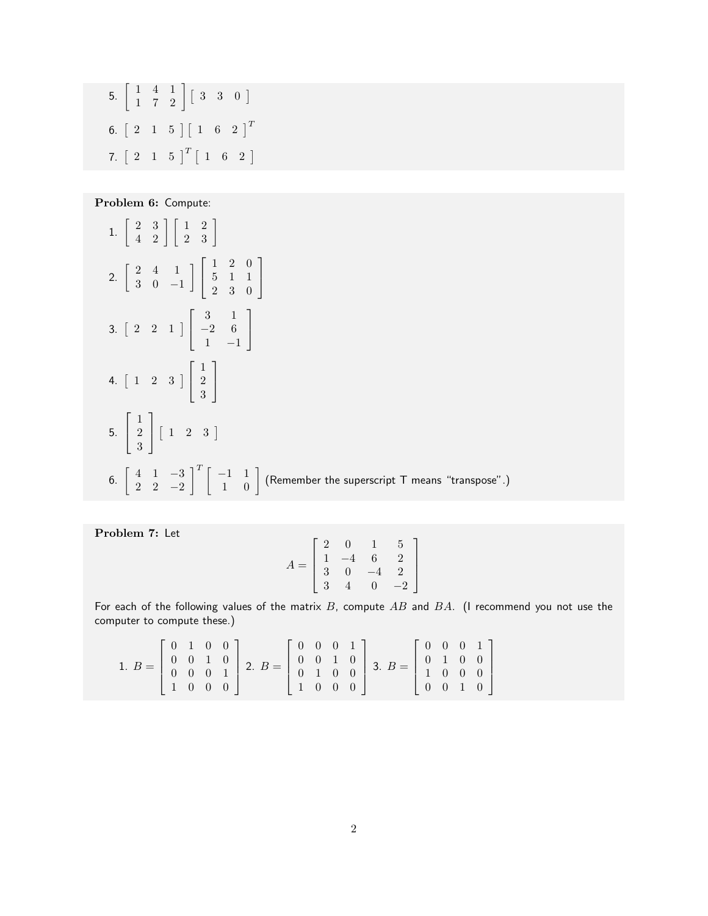5. 
$$
\begin{bmatrix} 1 & 4 & 1 \\ 1 & 7 & 2 \end{bmatrix} \begin{bmatrix} 3 & 3 & 0 \end{bmatrix}
$$
  
6.  $\begin{bmatrix} 2 & 1 & 5 \end{bmatrix} \begin{bmatrix} 1 & 6 & 2 \end{bmatrix}^T$   
7.  $\begin{bmatrix} 2 & 1 & 5 \end{bmatrix}^T \begin{bmatrix} 1 & 6 & 2 \end{bmatrix}$ 

Problem 6: Compute:

1. 
$$
\begin{bmatrix} 2 & 3 \\ 4 & 2 \end{bmatrix} \begin{bmatrix} 1 & 2 \\ 2 & 3 \end{bmatrix}
$$
  
\n2.  $\begin{bmatrix} 2 & 4 & 1 \\ 3 & 0 & -1 \end{bmatrix} \begin{bmatrix} 1 & 2 & 0 \\ 5 & 1 & 1 \\ 2 & 3 & 0 \end{bmatrix}$   
\n3.  $\begin{bmatrix} 2 & 2 & 1 \end{bmatrix} \begin{bmatrix} 3 & 1 \\ -2 & 6 \\ 1 & -1 \end{bmatrix}$   
\n4.  $\begin{bmatrix} 1 & 2 & 3 \end{bmatrix} \begin{bmatrix} 1 \\ 2 \\ 3 \end{bmatrix}$   
\n5.  $\begin{bmatrix} 1 \\ 2 \\ 3 \end{bmatrix} \begin{bmatrix} 1 & 2 & 3 \end{bmatrix}$   
\n6.  $\begin{bmatrix} 4 & 1 & -3 \\ 2 & 2 & -2 \end{bmatrix}^T \begin{bmatrix} -1 & 1 \\ 1 & 0 \end{bmatrix}$  (Remember the superscript T means "transpose".)

Problem 7: Let

$$
A = \begin{bmatrix} 2 & 0 & 1 & 5 \\ 1 & -4 & 6 & 2 \\ 3 & 0 & -4 & 2 \\ 3 & 4 & 0 & -2 \end{bmatrix}
$$

For each of the following values of the matrix  $B$ , compute  $AB$  and  $BA$ . (I recommend you not use the computer to compute these.)

1. 
$$
B = \begin{bmatrix} 0 & 1 & 0 & 0 \\ 0 & 0 & 1 & 0 \\ 0 & 0 & 0 & 1 \\ 1 & 0 & 0 & 0 \end{bmatrix}
$$
 2.  $B = \begin{bmatrix} 0 & 0 & 0 & 1 \\ 0 & 0 & 1 & 0 \\ 0 & 1 & 0 & 0 \\ 1 & 0 & 0 & 0 \end{bmatrix}$  3.  $B = \begin{bmatrix} 0 & 0 & 0 & 1 \\ 0 & 1 & 0 & 0 \\ 1 & 0 & 0 & 0 \\ 0 & 0 & 1 & 0 \end{bmatrix}$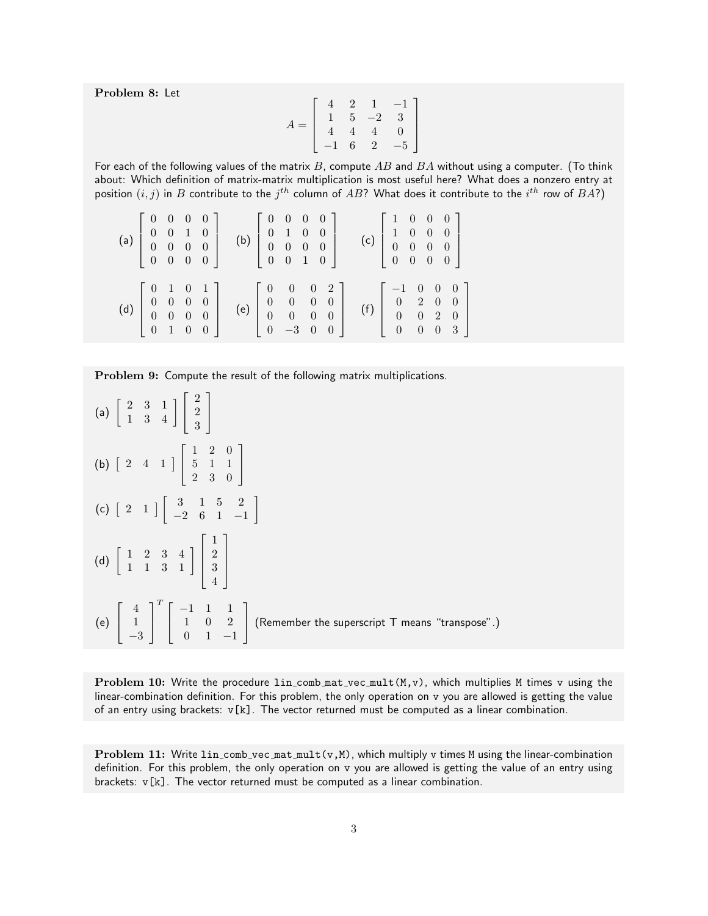Problem 8: Let

$$
A = \left[ \begin{array}{rrrr} 4 & 2 & 1 & -1 \\ 1 & 5 & -2 & 3 \\ 4 & 4 & 4 & 0 \\ -1 & 6 & 2 & -5 \end{array} \right]
$$

For each of the following values of the matrix  $B$ , compute  $AB$  and  $BA$  without using a computer. (To think about: Which definition of matrix-matrix multiplication is most useful here? What does a nonzero entry at position  $(i,j)$  in  $B$  contribute to the  $j^{th}$  column of  $AB$ ? What does it contribute to the  $i^{th}$  row of  $BA$ ?)

|     |  | $\begin{bmatrix} 0 & 0 & 0 & 0 \end{bmatrix}$ | (a) $\begin{bmatrix} 0 & 0 & 1 & 0 \\ 0 & 0 & 0 & 0 \\ 0 & 0 & 0 & 0 \end{bmatrix}$ (b) $\begin{bmatrix} 0 & 1 & 0 & 0 \\ 0 & 0 & 0 & 0 \\ 0 & 0 & 1 & 0 \end{bmatrix}$                           | $\begin{bmatrix} 0 & 0 & 0 & 0 \end{bmatrix}$                 |  | (c) $\begin{bmatrix} 1 & 0 & 0 & 0 \\ 0 & 0 & 0 & 0 \\ 0 & 0 & 0 & 0 \end{bmatrix}$                  | $\begin{bmatrix} 1 & 0 & 0 & 0 \end{bmatrix}$  |  |  |
|-----|--|-----------------------------------------------|---------------------------------------------------------------------------------------------------------------------------------------------------------------------------------------------------|---------------------------------------------------------------|--|------------------------------------------------------------------------------------------------------|------------------------------------------------|--|--|
| (d) |  | $\begin{bmatrix} 0 & 1 & 0 & 0 \end{bmatrix}$ | $\left[\begin{array}{cccc} 0 & 1 & 0 & 1 \\ 0 & 0 & 0 & 0 \\ 0 & 0 & 0 & 0 \end{array}\right]$ (e) $\left[\begin{array}{cccc} 0 & 0 & 0 & 2 \\ 0 & 0 & 0 & 0 \\ 0 & 0 & 0 & 0 \end{array}\right]$ | $\left[\begin{array}{cccc} 0 & -3 & 0 & 0 \end{array}\right]$ |  | (f) $\begin{bmatrix} 1 & 0 & 0 & 0 \\ 0 & 2 & 0 & 0 \\ 0 & 0 & 2 & 0 \\ 0 & 0 & 0 & 3 \end{bmatrix}$ | $\begin{bmatrix} -1 & 0 & 0 & 0 \end{bmatrix}$ |  |  |

Problem 9: Compute the result of the following matrix multiplications.

| (a) $\begin{bmatrix} 2 & 3 & 1 \\ 1 & 3 & 4 \end{bmatrix} \begin{bmatrix} 2 \\ 2 \\ 3 \end{bmatrix}$                                                                   |
|------------------------------------------------------------------------------------------------------------------------------------------------------------------------|
| (b) $\begin{bmatrix} 2 & 4 & 1 \end{bmatrix} \begin{bmatrix} 1 & 2 & 0 \\ 5 & 1 & 1 \\ 2 & 3 & 0 \end{bmatrix}$                                                        |
| (c) $\begin{bmatrix} 2 & 1 \end{bmatrix} \begin{bmatrix} 3 & 1 & 5 & 2 \\ -2 & 6 & 1 & -1 \end{bmatrix}$                                                               |
| (d) $\begin{bmatrix} 1 & 2 & 3 & 4 \\ 1 & 1 & 3 & 1 \end{bmatrix} \begin{bmatrix} 1 \\ 2 \\ 3 \\ 4 \end{bmatrix}$                                                      |
| (e) $\begin{bmatrix} 4 \\ 1 \\ -3 \end{bmatrix}$ $\begin{bmatrix} -1 & 1 & 1 \\ 1 & 0 & 2 \\ 0 & 1 & -1 \end{bmatrix}$ (Remember the superscript T means "transpose".) |

Problem 10: Write the procedure  $lin_{conv\_mat\_vec\_mult}(M, v)$ , which multiplies M times v using the linear-combination definition. For this problem, the only operation on v you are allowed is getting the value of an entry using brackets:  $v[k]$ . The vector returned must be computed as a linear combination.

Problem 11: Write lin\_comb\_vec\_mat\_mult(v, M), which multiply v times M using the linear-combination definition. For this problem, the only operation on v you are allowed is getting the value of an entry using brackets: v[k]. The vector returned must be computed as a linear combination.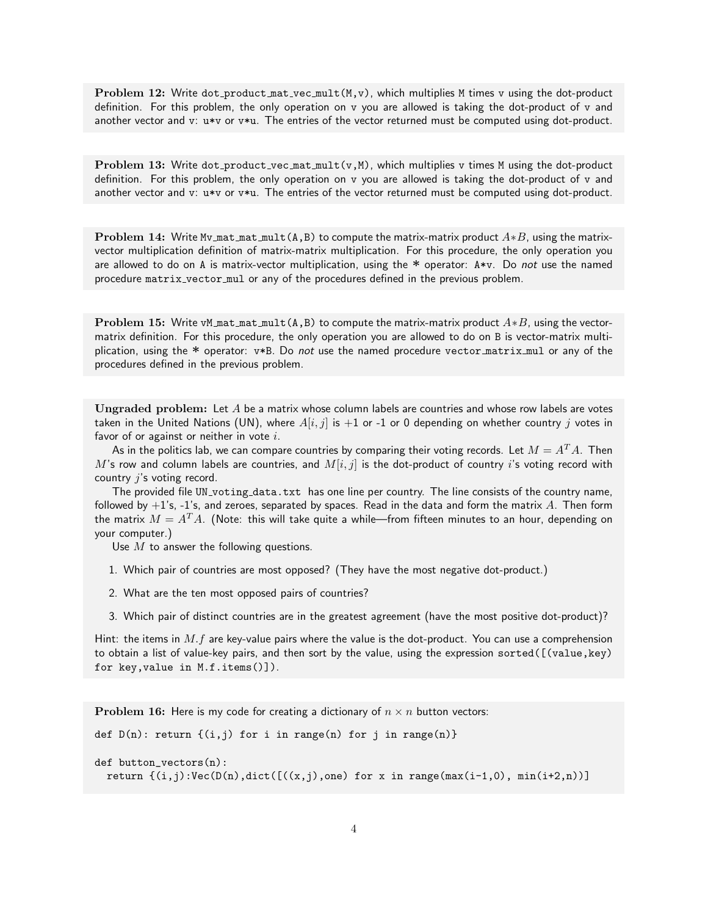Problem 12: Write dot product mat vec mult  $(M, v)$ , which multiplies M times v using the dot-product definition. For this problem, the only operation on v you are allowed is taking the dot-product of v and another vector and v: u\*v or v\*u. The entries of the vector returned must be computed using dot-product.

Problem 13: Write dot product vec mat  $mult(v, M)$ , which multiplies v times M using the dot-product definition. For this problem, the only operation on v you are allowed is taking the dot-product of v and another vector and v: u\*v or v\*u. The entries of the vector returned must be computed using dot-product.

**Problem 14:** Write Mv\_mat\_mat\_mult(A,B) to compute the matrix-matrix product  $A*B$ , using the matrixvector multiplication definition of matrix-matrix multiplication. For this procedure, the only operation you are allowed to do on A is matrix-vector multiplication, using the  $*$  operator: A $*v$ . Do not use the named procedure matrix vector mul or any of the procedures defined in the previous problem.

**Problem 15:** Write vM mat mat mult(A,B) to compute the matrix-matrix product  $A*B$ , using the vectormatrix definition. For this procedure, the only operation you are allowed to do on B is vector-matrix multiplication, using the  $*$  operator:  $v*B$ . Do not use the named procedure vector matrix mul or any of the procedures defined in the previous problem.

Ungraded problem: Let  $A$  be a matrix whose column labels are countries and whose row labels are votes taken in the United Nations (UN), where  $A[i, j]$  is  $+1$  or -1 or 0 depending on whether country j votes in favor of or against or neither in vote  $i$ .

As in the politics lab, we can compare countries by comparing their voting records. Let  $M = A<sup>T</sup>A$ . Then M's row and column labels are countries, and  $M[i, j]$  is the dot-product of country i's voting record with country  $j$ 's voting record.

The provided file UN\_voting\_data.txt has one line per country. The line consists of the country name, followed by  $+1$ 's, -1's, and zeroes, separated by spaces. Read in the data and form the matrix A. Then form the matrix  $M = A<sup>T</sup>A$ . (Note: this will take quite a while—from fifteen minutes to an hour, depending on your computer.)

Use  $M$  to answer the following questions.

- 1. Which pair of countries are most opposed? (They have the most negative dot-product.)
- 2. What are the ten most opposed pairs of countries?
- 3. Which pair of distinct countries are in the greatest agreement (have the most positive dot-product)?

Hint: the items in  $M.f$  are key-value pairs where the value is the dot-product. You can use a comprehension to obtain a list of value-key pairs, and then sort by the value, using the expression sorted([(value,key) for key,value in M.f.items()]).

**Problem 16:** Here is my code for creating a dictionary of  $n \times n$  button vectors:

```
def D(n): return \{(i,j) for i in range(n) for j in range(n)}
def button_vectors(n):
 return \{(i,j):Vec(D(n),dict([((x,j),one) for x in range(max(i-1,0), min(i+2,n))\})
```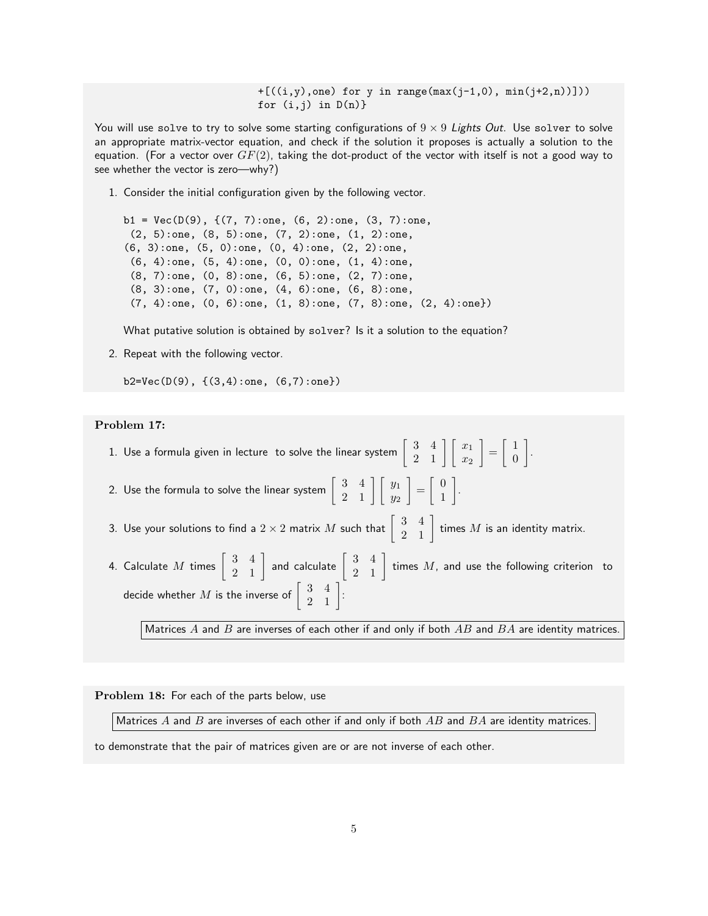$+ [((i,y), one)$  for y in range(max(j-1,0), min(j+2,n))])) for  $(i,j)$  in  $D(n)$ }

You will use solve to try to solve some starting configurations of  $9 \times 9$  Lights Out. Use solver to solve an appropriate matrix-vector equation, and check if the solution it proposes is actually a solution to the equation. (For a vector over  $GF(2)$ , taking the dot-product of the vector with itself is not a good way to see whether the vector is zero—why?)

1. Consider the initial configuration given by the following vector.

```
b1 = Vec(D(9), \{ (7, 7): one, (6, 2): one, (3, 7): one,(2, 5):one, (8, 5):one, (7, 2):one, (1, 2):one,
(6, 3):one, (5, 0):one, (0, 4):one, (2, 2):one,
 (6, 4):one, (5, 4):one, (0, 0):one, (1, 4):one,
 (8, 7):one, (0, 8):one, (6, 5):one, (2, 7):one,
 (8, 3):one, (7, 0):one, (4, 6):one, (6, 8):one,
 (7, 4):one, (0, 6):one, (1, 8):one, (7, 8):one, (2, 4):one})
```
What putative solution is obtained by solver? Is it a solution to the equation?

2. Repeat with the following vector.

b2=Vec(D(9), {(3,4):one, (6,7):one})

## Problem 17:

- 1. Use a formula given in lecture  $\,$  to solve the linear system  $\left[\begin{array}{cc} 3 & 4 \ 2 & 1 \end{array}\right] \left[\begin{array}{c} x_1 \ x_2 \end{array}\right]$  $=\begin{bmatrix} 1 \\ 0 \end{bmatrix}$  $\overline{0}$  . 2. Use the formula to solve the linear system  $\left[\begin{array}{cc} 3 & 4 \ 2 & 1 \end{array}\right] \left[\begin{array}{c} y_1 \ y_2 \end{array}\right]$  $\Big] = \Big[ \begin{array}{c} 0 \\ 1 \end{array} \Big]$ 1 .
- 3. Use your solutions to find a  $2\times 2$  matrix  $M$  such that  $\left[\begin{array}{cc} 3 & 4 \ 2 & 1 \end{array}\right]$  times  $M$  is an identity matrix.
- 4. Calculate  $M$  times  $\left[\begin{array}{cc} 3 & 4 \ 2 & 1 \end{array}\right]$  and calculate  $\left[\begin{array}{cc} 3 & 4 \ 2 & 1 \end{array}\right]$  times  $M$ , and use the following criterion to decide whether  $M$  is the inverse of  $\left[\begin{array}{cc} 3 & 4 \ 2 & 1 \end{array}\right]$ :

Matrices  $A$  and  $B$  are inverses of each other if and only if both  $AB$  and  $BA$  are identity matrices.

Problem 18: For each of the parts below, use

Matrices  $A$  and  $B$  are inverses of each other if and only if both  $AB$  and  $BA$  are identity matrices.

to demonstrate that the pair of matrices given are or are not inverse of each other.